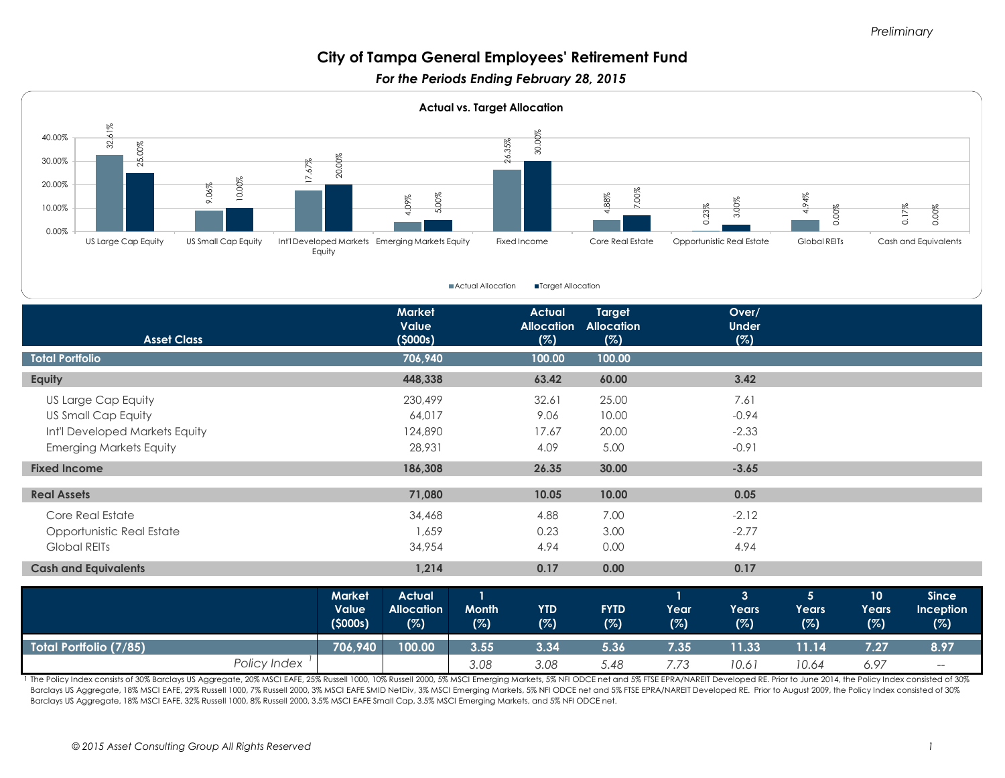#### *Preliminary*

# **City of Tampa General Employees' Retirement Fund**

*For the Periods Ending February 28, 2015* 



■Actual Allocation ■Target Allocation

| <b>Asset Class</b>             |              |                                   | <b>Market</b><br>Value<br>(5000s)         |                     | <b>Actual</b><br><b>Allocation</b> | <b>Target</b><br><b>Allocation</b> |                             | Over/<br><b>Under</b>                 |                                |                                 |                                  |
|--------------------------------|--------------|-----------------------------------|-------------------------------------------|---------------------|------------------------------------|------------------------------------|-----------------------------|---------------------------------------|--------------------------------|---------------------------------|----------------------------------|
|                                |              |                                   |                                           |                     | (%)                                | (%)                                |                             | (%)                                   |                                |                                 |                                  |
| <b>Total Portfolio</b>         |              |                                   | 706,940                                   |                     | 100.00                             | 100.00                             |                             |                                       |                                |                                 |                                  |
| Equity                         |              |                                   | 448,338                                   |                     | 63.42                              | 60.00                              |                             | 3.42                                  |                                |                                 |                                  |
| US Large Cap Equity            |              |                                   | 230,499                                   |                     | 32.61                              | 25.00                              |                             | 7.61                                  |                                |                                 |                                  |
| <b>US Small Cap Equity</b>     |              |                                   | 64,017                                    |                     | 9.06                               | 10.00                              |                             | $-0.94$                               |                                |                                 |                                  |
| Int'l Developed Markets Equity |              |                                   | 124,890                                   |                     | 17.67                              | 20.00                              |                             | $-2.33$                               |                                |                                 |                                  |
| <b>Emerging Markets Equity</b> |              |                                   | 28,931                                    |                     | 4.09                               | 5.00                               |                             | $-0.91$                               |                                |                                 |                                  |
| <b>Fixed Income</b>            |              |                                   | 186,308                                   |                     | 26.35                              | 30.00                              |                             | $-3.65$                               |                                |                                 |                                  |
| <b>Real Assets</b>             |              |                                   | 71,080                                    |                     | 10.05                              | 10.00                              |                             | 0.05                                  |                                |                                 |                                  |
| Core Real Estate               |              |                                   | 34,468                                    |                     | 4.88                               | 7.00                               |                             | $-2.12$                               |                                |                                 |                                  |
| Opportunistic Real Estate      |              |                                   | 1,659                                     |                     | 0.23                               | 3.00                               |                             | $-2.77$                               |                                |                                 |                                  |
| Global REITs                   |              |                                   | 34,954                                    |                     | 4.94                               | 0.00                               |                             | 4.94                                  |                                |                                 |                                  |
| <b>Cash and Equivalents</b>    |              |                                   | 1,214                                     |                     | 0.17                               | 0.00                               |                             | 0.17                                  |                                |                                 |                                  |
|                                |              | <b>Market</b><br>Value<br>(5000s) | <b>Actual</b><br><b>Allocation</b><br>(%) | <b>Month</b><br>(%) | <b>YTD</b><br>(%)                  | <b>FYTD</b><br>(%)                 | $\mathbf{1}$<br>Year<br>(%) | 3 <sup>1</sup><br><b>Years</b><br>(%) | 5 <sup>5</sup><br>Years<br>(%) | 10 <sup>°</sup><br>Years<br>(%) | <b>Since</b><br>Inception<br>(%) |
| <b>Total Portfolio (7/85)</b>  |              | 706,940                           | 100.00                                    | 3.55                | 3.34                               | 5.36                               | 7.35                        | 11.33                                 | 11.14                          | 7.27                            | 8.97                             |
|                                | Policy Index |                                   |                                           | 3.08                | 3.08                               | 5.48                               | 7.73                        | 10.61                                 | 10.64                          | 6.97                            | $-\!$ $\!-$                      |

1 The Policy Index consists of 30% Barclays US Aggregate, 20% MSCI EAFE, 25% Russell 1000, 10% Russell 2000, 5% MSCI Emerging Markets, 5% NFI ODCE net and 5% FTSE EPRA/NAREIT Developed RE. Prior to June 2014, the Policy In Barclays US Aggregate, 18% MSCI EAFE, 29% Russell 1000, 7% Russell 2000, 3% MSCI EAFE SMID NetDiv, 3% MSCI Emerging Markets, 5% NFI ODCE net and 5% FTSE EPRA/NAREIT Developed RE. Prior to August 2009, the Policy Index cons Barclays US Aggregate, 18% MSCI EAFE, 32% Russell 1000, 8% Russell 2000, 3.5% MSCI EAFE Small Cap, 3.5% MSCI Emerging Markets, and 5% NFI ODCE net.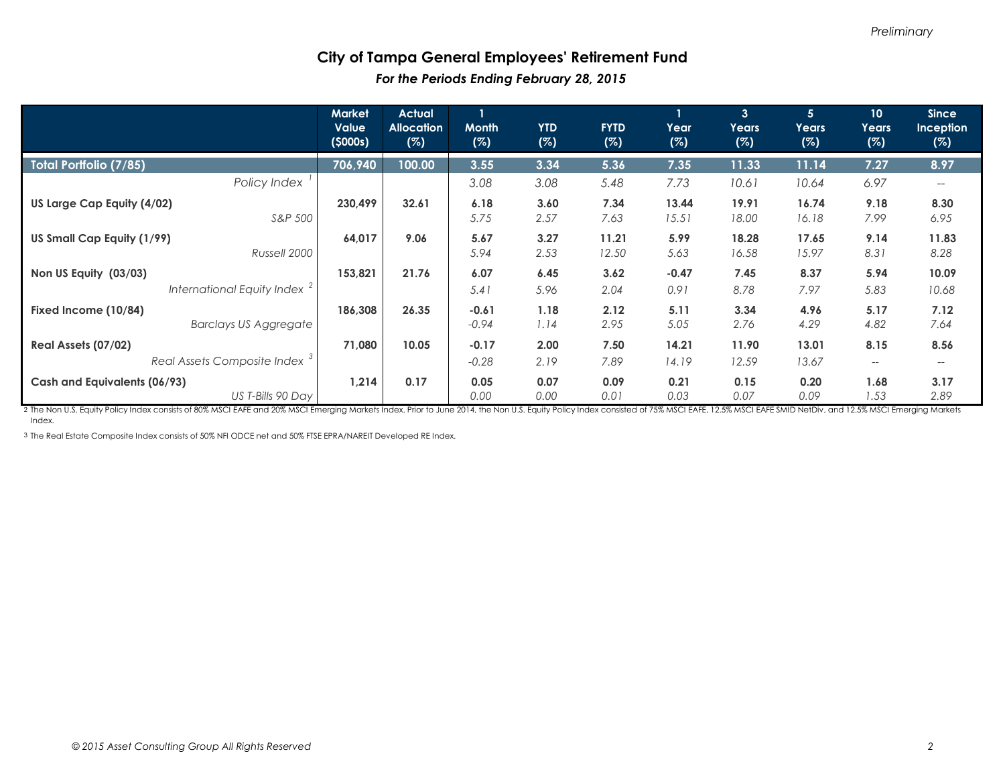#### **City of Tampa General Employees' Retirement Fund**  *For the Periods Ending February 28, 2015*

|                                                      | <b>Market</b><br><b>Value</b><br>(5000s) | <b>Actual</b><br><b>Allocation</b><br>(%) | <b>Month</b><br>(%) | <b>YTD</b><br>(%) | <b>FYTD</b><br>(%) | Year<br>(%)     | $\overline{3}$<br>Years<br>(%) | 5 <sup>5</sup><br>Years<br>(%) | 10 <sup>°</sup><br>Years<br>(%) | <b>Since</b><br><b>Inception</b><br>(%) |
|------------------------------------------------------|------------------------------------------|-------------------------------------------|---------------------|-------------------|--------------------|-----------------|--------------------------------|--------------------------------|---------------------------------|-----------------------------------------|
| Total Portfolio (7/85)                               | 706,940                                  | 100.00                                    | 3.55                | 3.34              | 5.36               | 7.35            | 11.33                          | 11.14                          | 7.27                            | 8.97                                    |
| Policy Index                                         |                                          |                                           | 3.08                | 3.08              | 5.48               | 7.73            | 10.61                          | 10.64                          | 6.97                            |                                         |
| US Large Cap Equity (4/02)<br>S&P 500                | 230,499                                  | 32.61                                     | 6.18<br>5.75        | 3.60<br>2.57      | 7.34<br>7.63       | 13.44<br>15.51  | 19.91<br>18.00                 | 16.74<br>16.18                 | 9.18<br>7.99                    | 8.30<br>6.95                            |
| US Small Cap Equity (1/99)<br>Russell 2000           | 64,017                                   | 9.06                                      | 5.67<br>5.94        | 3.27<br>2.53      | 11.21<br>12.50     | 5.99<br>5.63    | 18.28<br>16.58                 | 17.65<br>15.97                 | 9.14<br>8.31                    | 11.83<br>8.28                           |
| Non US Equity (03/03)<br>International Equity Index  | 153,821                                  | 21.76                                     | 6.07<br>5.41        | 6.45<br>5.96      | 3.62<br>2.04       | $-0.47$<br>0.91 | 7.45<br>8.78                   | 8.37<br>7.97                   | 5.94<br>5.83                    | 10.09<br>10.68                          |
| Fixed Income (10/84)<br><b>Barclays US Aggregate</b> | 186,308                                  | 26.35                                     | $-0.61$<br>$-0.94$  | 1.18<br>1.14      | 2.12<br>2.95       | 5.11<br>5.05    | 3.34<br>2.76                   | 4.96<br>4.29                   | 5.17<br>4.82                    | 7.12<br>7.64                            |
| Real Assets (07/02)                                  | 71,080                                   | 10.05                                     | $-0.17$             | 2.00              | 7.50               | 14.21           | 11.90                          | 13.01                          | 8.15                            | 8.56                                    |
| Real Assets Composite Index <sup>3</sup>             |                                          |                                           | $-0.28$             | 2.19              | 7.89               | 14.19           | 12.59                          | 13.67                          | $--$                            |                                         |
| Cash and Equivalents (06/93)<br>US T-Bills 90 Day    | 1,214                                    | 0.17                                      | 0.05<br>0.00        | 0.07<br>0.00      | 0.09<br>0.01       | 0.21<br>0.03    | 0.15<br>0.07                   | 0.20<br>0.09                   | 1.68<br>1.53                    | 3.17<br>2.89                            |

2 The Non U.S. Equity Policy Index consists of 80% MSCI EAFE and 20% MSCI Emerging Markets Index. Prior to June 2014, the Non U.S. Equity Policy Index consisted of 75% MSCI EAFE, 12.5% MSCI EAFE SMID NetDiv, and 12.5% MSCI Index.

3 The Real Estate Composite Index consists of 50% NFI ODCE net and 50% FTSE EPRA/NAREIT Developed RE Index.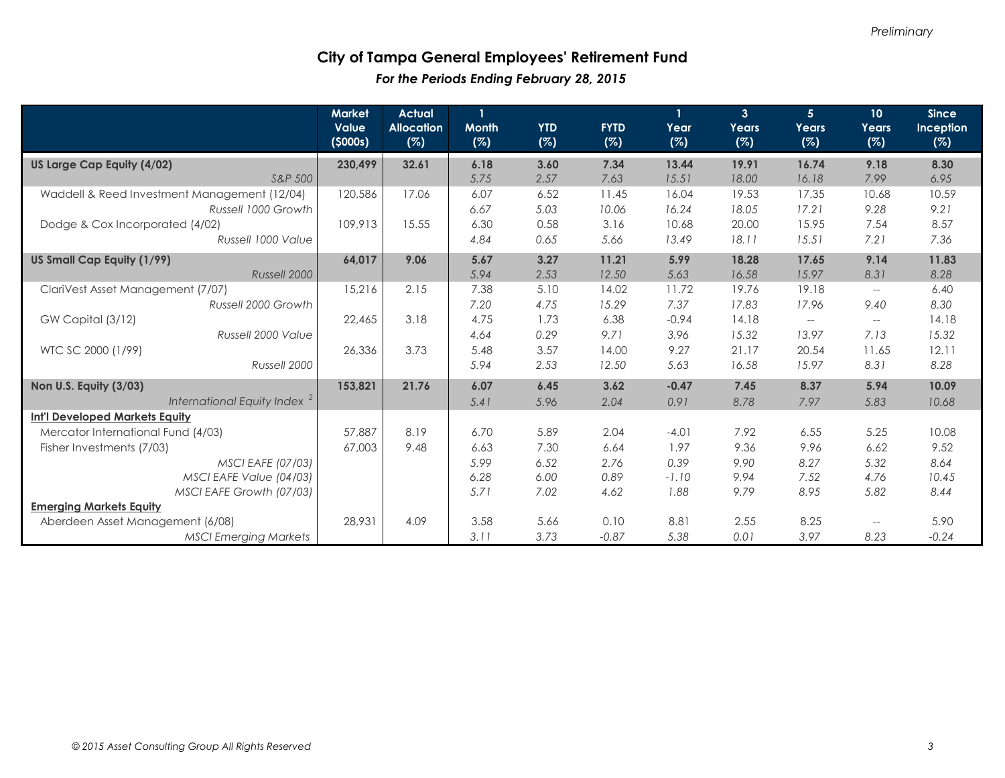### **City of Tampa General Employees' Retirement Fund**  *For the Periods Ending February 28, 2015*

|                                              | <b>Market</b><br>Value<br>(5000s) | <b>Actual</b><br><b>Allocation</b><br>(%) | $\mathbf{1}$<br><b>Month</b><br>(%) | <b>YTD</b><br>(%) | <b>FYTD</b><br>(%) | Year<br>(%) | 3 <sup>1</sup><br>Years<br>(%) | 5 <sup>1</sup><br>Years<br>(%)                      | 10 <sup>°</sup><br>Years<br>(%)                     | <b>Since</b><br>Inception<br>(%) |
|----------------------------------------------|-----------------------------------|-------------------------------------------|-------------------------------------|-------------------|--------------------|-------------|--------------------------------|-----------------------------------------------------|-----------------------------------------------------|----------------------------------|
| US Large Cap Equity (4/02)                   | 230,499                           | 32.61                                     | 6.18                                | 3.60              | 7.34               | 13.44       | 19.91                          | 16.74                                               | 9.18                                                | 8.30                             |
| S&P 500                                      |                                   |                                           | 5.75                                | 2.57              | 7.63               | 15.51       | 18.00                          | 16.18                                               | 7.99                                                | 6.95                             |
| Waddell & Reed Investment Management (12/04) | 120,586                           | 17.06                                     | 6.07                                | 6.52              | 11.45              | 16.04       | 19.53                          | 17.35                                               | 10.68                                               | 10.59                            |
| Russell 1000 Growth                          |                                   |                                           | 6.67                                | 5.03              | 10.06              | 16.24       | 18.05                          | 17.21                                               | 9.28                                                | 9.21                             |
| Dodge & Cox Incorporated (4/02)              | 109,913                           | 15.55                                     | 6.30                                | 0.58              | 3.16               | 10.68       | 20.00                          | 15.95                                               | 7.54                                                | 8.57                             |
| Russell 1000 Value                           |                                   |                                           | 4.84                                | 0.65              | 5.66               | 13.49       | 18.11                          | 15.51                                               | 7.21                                                | 7.36                             |
| US Small Cap Equity (1/99)                   | 64,017                            | 9.06                                      | 5.67                                | 3.27              | 11.21              | 5.99        | 18.28                          | 17.65                                               | 9.14                                                | 11.83                            |
| Russell 2000                                 |                                   |                                           | 5.94                                | 2.53              | 12.50              | 5.63        | 16.58                          | 15.97                                               | 8.31                                                | 8.28                             |
| ClariVest Asset Management (7/07)            | 15,216                            | 2.15                                      | 7.38                                | 5.10              | 14.02              | 11.72       | 19.76                          | 19.18                                               | $\overline{\phantom{a}}$                            | 6.40                             |
| Russell 2000 Growth                          |                                   |                                           | 7.20                                | 4.75              | 15.29              | 7.37        | 17.83                          | 17.96                                               | 9.40                                                | 8.30                             |
| GW Capital (3/12)                            | 22,465                            | 3.18                                      | 4.75                                | 1.73              | 6.38               | $-0.94$     | 14.18                          | $\hspace{0.05cm} -\hspace{0.05cm} -\hspace{0.05cm}$ | $\hspace{0.05cm} -\hspace{0.05cm} -\hspace{0.05cm}$ | 14.18                            |
| Russell 2000 Value                           |                                   |                                           | 4.64                                | 0.29              | 9.71               | 3.96        | 15.32                          | 13.97                                               | 7.13                                                | 15.32                            |
| WTC SC 2000 (1/99)                           | 26,336                            | 3.73                                      | 5.48                                | 3.57              | 14.00              | 9.27        | 21.17                          | 20.54                                               | 11.65                                               | 12.11                            |
| Russell 2000                                 |                                   |                                           | 5.94                                | 2.53              | 12.50              | 5.63        | 16.58                          | 15.97                                               | 8.31                                                | 8.28                             |
| Non U.S. Equity (3/03)                       | 153,821                           | 21.76                                     | 6.07                                | 6.45              | 3.62               | $-0.47$     | 7.45                           | 8.37                                                | 5.94                                                | 10.09                            |
| International Equity Index <sup>2</sup>      |                                   |                                           | 5.41                                | 5.96              | 2.04               | 0.91        | 8.78                           | 7.97                                                | 5.83                                                | 10.68                            |
| <b>Int'l Developed Markets Equity</b>        |                                   |                                           |                                     |                   |                    |             |                                |                                                     |                                                     |                                  |
| Mercator International Fund (4/03)           | 57,887                            | 8.19                                      | 6.70                                | 5.89              | 2.04               | $-4.01$     | 7.92                           | 6.55                                                | 5.25                                                | 10.08                            |
| Fisher Investments (7/03)                    | 67,003                            | 9.48                                      | 6.63                                | 7.30              | 6.64               | 1.97        | 9.36                           | 9.96                                                | 6.62                                                | 9.52                             |
| <b>MSCI EAFE (07/03)</b>                     |                                   |                                           | 5.99                                | 6.52              | 2.76               | 0.39        | 9.90                           | 8.27                                                | 5.32                                                | 8.64                             |
| MSCI EAFE Value (04/03)                      |                                   |                                           | 6.28                                | 6.00              | 0.89               | $-1.10$     | 9.94                           | 7.52                                                | 4.76                                                | 10.45                            |
| MSCI EAFE Growth (07/03)                     |                                   |                                           | 5.71                                | 7.02              | 4.62               | 1.88        | 9.79                           | 8.95                                                | 5.82                                                | 8.44                             |
| <b>Emerging Markets Equity</b>               |                                   |                                           |                                     |                   |                    |             |                                |                                                     |                                                     |                                  |
| Aberdeen Asset Management (6/08)             | 28,931                            | 4.09                                      | 3.58                                | 5.66              | 0.10               | 8.81        | 2.55                           | 8.25                                                | $-\!$ $\!-$                                         | 5.90                             |
| <b>MSCI Emerging Markets</b>                 |                                   |                                           | 3.11                                | 3.73              | $-0.87$            | 5.38        | 0.01                           | 3.97                                                | 8.23                                                | $-0.24$                          |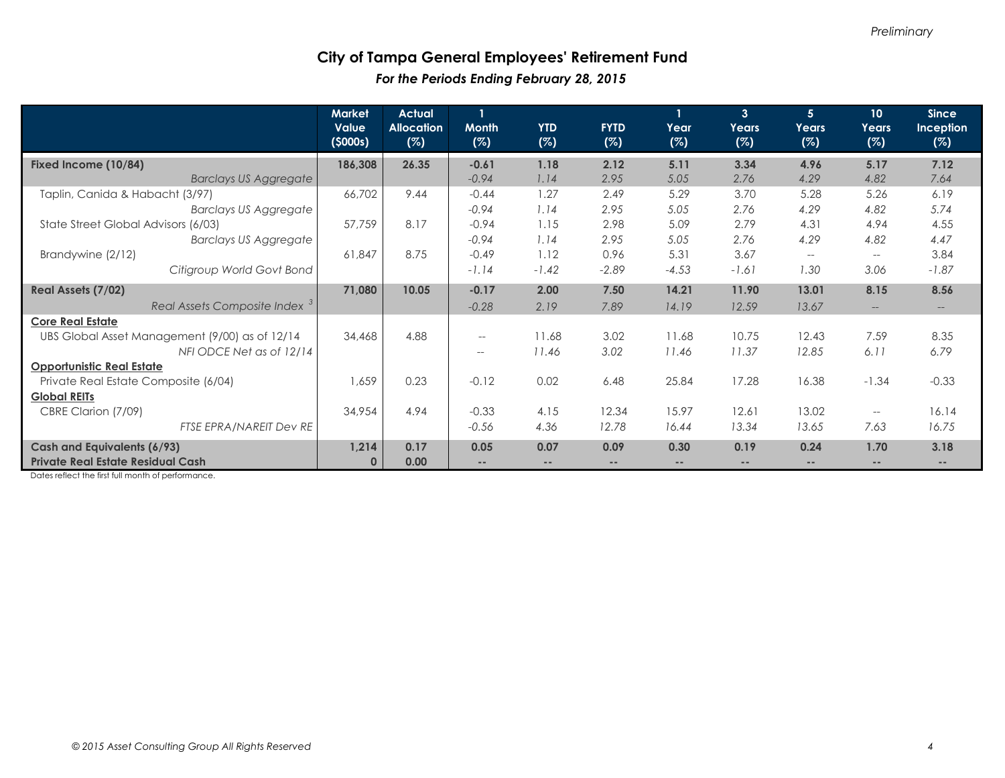### **City of Tampa General Employees' Retirement Fund**  *For the Periods Ending February 28, 2015*

|                                                | <b>Market</b><br><b>Value</b><br>(5000s) | <b>Actual</b><br><b>Allocation</b><br>(%) | <b>Month</b><br>(%)                                 | <b>YTD</b><br>(%) | <b>FYTD</b><br>(%) | Year<br>(%)       | $\overline{3}$<br>Years<br>(%) | 5 <sup>1</sup><br>Years<br>(%) | 10 <sub>1</sub><br>Years<br>(%)                     | <b>Since</b><br>Inception<br>(%) |
|------------------------------------------------|------------------------------------------|-------------------------------------------|-----------------------------------------------------|-------------------|--------------------|-------------------|--------------------------------|--------------------------------|-----------------------------------------------------|----------------------------------|
| Fixed Income (10/84)                           | 186,308                                  | 26.35                                     | $-0.61$                                             | 1.18              | 2.12               | 5.11              | 3.34                           | 4.96                           | 5.17                                                | 7.12                             |
| <b>Barclays US Aggregate</b>                   |                                          |                                           | $-0.94$                                             | 1.14              | 2.95               | 5.05              | 2.76                           | 4.29                           | 4.82                                                | 7.64                             |
| Taplin, Canida & Habacht (3/97)                | 66,702                                   | 9.44                                      | $-0.44$                                             | 1.27              | 2.49               | 5.29              | 3.70                           | 5.28                           | 5.26                                                | 6.19                             |
| <b>Barclays US Aggregate</b>                   |                                          |                                           | $-0.94$                                             | 1.14              | 2.95               | 5.05              | 2.76                           | 4.29                           | 4.82                                                | 5.74                             |
| State Street Global Advisors (6/03)            | 57,759                                   | 8.17                                      | $-0.94$                                             | 1.15              | 2.98               | 5.09              | 2.79                           | 4.31                           | 4.94                                                | 4.55                             |
| <b>Barclays US Aggregate</b>                   |                                          |                                           | $-0.94$                                             | 1.14              | 2.95               | 5.05              | 2.76                           | 4.29                           | 4.82                                                | 4.47                             |
| Brandywine (2/12)                              | 61,847                                   | 8.75                                      | $-0.49$                                             | 1.12              | 0.96               | 5.31              | 3.67                           | $\overline{\phantom{a}}$       | $\hspace{0.05cm} -\hspace{0.05cm}$                  | 3.84                             |
| Citigroup World Govt Bond                      |                                          |                                           | $-1.14$                                             | $-1.42$           | $-2.89$            | $-4.53$           | $-1.61$                        | 1.30                           | 3.06                                                | $-1.87$                          |
| Real Assets (7/02)                             | 71,080                                   | 10.05                                     | $-0.17$                                             | 2.00              | 7.50               | 14.21             | 11.90                          | 13.01                          | 8.15                                                | 8.56                             |
| Real Assets Composite Index <sup>3</sup>       |                                          |                                           | $-0.28$                                             | 2.19              | 7.89               | 14.19             | 12.59                          | 13.67                          | $-\!$                                               | $--$                             |
| <b>Core Real Estate</b>                        |                                          |                                           |                                                     |                   |                    |                   |                                |                                |                                                     |                                  |
| UBS Global Asset Management (9/00) as of 12/14 | 34,468                                   | 4.88                                      | $\overline{\phantom{m}}$                            | 11.68             | 3.02               | 11.68             | 10.75                          | 12.43                          | 7.59                                                | 8.35                             |
| NFI ODCE Net as of 12/14                       |                                          |                                           | $\hspace{0.05cm} -\hspace{0.05cm} -\hspace{0.05cm}$ | 11.46             | 3.02               | 11.46             | 11.37                          | 12.85                          | 6.11                                                | 6.79                             |
| <b>Opportunistic Real Estate</b>               |                                          |                                           |                                                     |                   |                    |                   |                                |                                |                                                     |                                  |
| Private Real Estate Composite (6/04)           | 1,659                                    | 0.23                                      | $-0.12$                                             | 0.02              | 6.48               | 25.84             | 17.28                          | 16.38                          | $-1.34$                                             | $-0.33$                          |
| <b>Global REITs</b>                            |                                          |                                           |                                                     |                   |                    |                   |                                |                                |                                                     |                                  |
| CBRE Clarion (7/09)                            | 34,954                                   | 4.94                                      | $-0.33$                                             | 4.15              | 12.34              | 15.97             | 12.61                          | 13.02                          | $\hspace{0.05cm} -\hspace{0.05cm} -\hspace{0.05cm}$ | 16.14                            |
| FTSE EPRA/NAREIT Dev RE                        |                                          |                                           | $-0.56$                                             | 4.36              | 12.78              | 16.44             | 13.34                          | 13.65                          | 7.63                                                | 16.75                            |
| Cash and Equivalents (6/93)                    | 1,214                                    | 0.17                                      | 0.05                                                | 0.07              | 0.09               | 0.30              | 0.19                           | 0.24                           | 1.70                                                | 3.18                             |
| <b>Private Real Estate Residual Cash</b>       | $\mathbf{0}$                             | 0.00                                      |                                                     | $\frac{1}{2}$     | --                 | $\qquad \qquad -$ | $\qquad \qquad -$              | $\frac{1}{2}$                  | $\frac{1}{2}$                                       |                                  |

Dates reflect the first full month of performance.